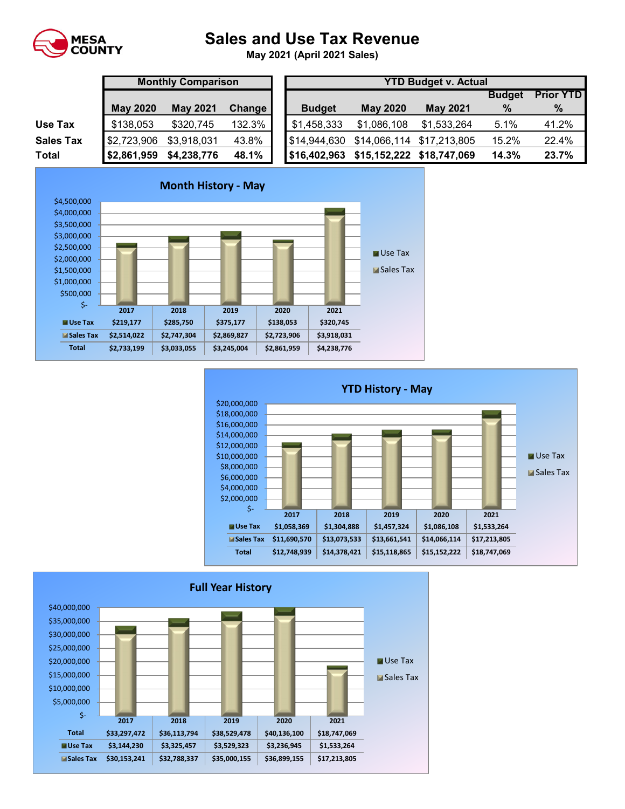

## **Sales and Use Tax Revenue**

**May 2021 (April 2021 Sales)** 

|                  |                 | <b>Monthly Comparison</b> |        |  | <b>YTD Budget v. Actual</b> |                 |                           |               |                 |  |  |  |
|------------------|-----------------|---------------------------|--------|--|-----------------------------|-----------------|---------------------------|---------------|-----------------|--|--|--|
|                  |                 |                           |        |  |                             |                 |                           | <b>Budget</b> | <b>Prior YT</b> |  |  |  |
|                  | <b>May 2020</b> | <b>May 2021</b>           | Change |  | <b>Budget</b>               | <b>May 2020</b> | <b>May 2021</b>           | $\%$          | $\%$            |  |  |  |
| Use Tax          | \$138,053       | \$320,745                 | 132.3% |  | \$1,458,333                 | \$1,086,108     | \$1,533,264               | 5.1%          | 41.2%           |  |  |  |
| <b>Sales Tax</b> | \$2,723,906     | \$3,918,031               | 43.8%  |  | \$14,944,630                |                 | \$14,066,114 \$17,213,805 | 15.2%         | 22.4%           |  |  |  |
| Total            | \$2,861,959     | \$4,238,776               | 48.1%  |  | \$16,402,963                |                 | \$15,152,222 \$18,747,069 | 14.3%         | 23.7%           |  |  |  |

| <b>YTD Budget v. Actual</b> |                           |                           |       |       |  |  |  |  |  |  |
|-----------------------------|---------------------------|---------------------------|-------|-------|--|--|--|--|--|--|
|                             | <b>Prior YTD</b>          |                           |       |       |  |  |  |  |  |  |
| <b>Budget</b>               | <b>May 2020</b>           | <b>May 2021</b>           | $\%$  | %     |  |  |  |  |  |  |
| \$1,458,333                 | \$1,086,108               | \$1,533,264               | 5.1%  | 41.2% |  |  |  |  |  |  |
| \$14,944,630                |                           | \$14,066,114 \$17,213,805 | 15.2% | 22.4% |  |  |  |  |  |  |
| \$16,402,963                | \$15,152,222 \$18,747,069 |                           | 14.3% | 23.7% |  |  |  |  |  |  |





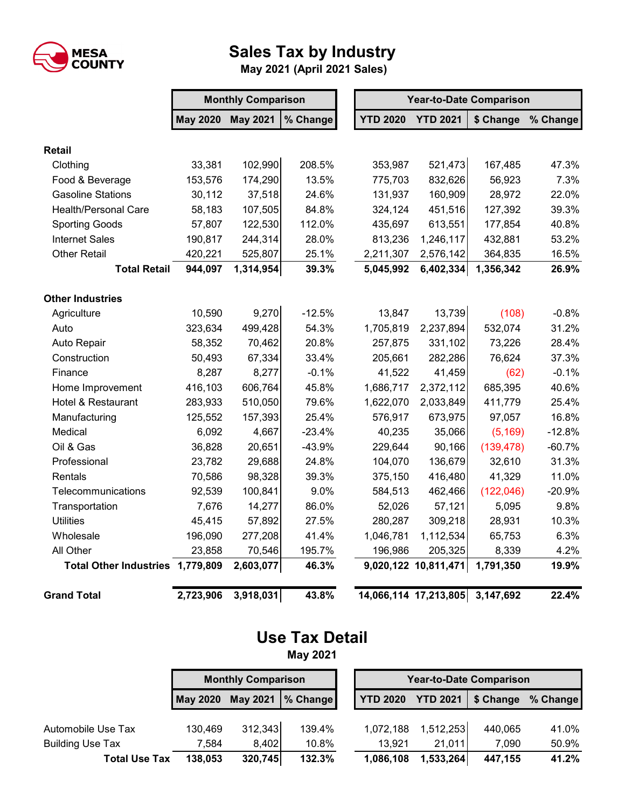

## **Sales Tax by Industry**

 **May 2021 (April 2021 Sales)**

|                                  | <b>Monthly Comparison</b> |                 |          |  | <b>Year-to-Date Comparison</b> |                       |            |          |  |  |
|----------------------------------|---------------------------|-----------------|----------|--|--------------------------------|-----------------------|------------|----------|--|--|
|                                  | <b>May 2020</b>           | <b>May 2021</b> | % Change |  | <b>YTD 2020</b>                | <b>YTD 2021</b>       | \$ Change  | % Change |  |  |
| <b>Retail</b>                    |                           |                 |          |  |                                |                       |            |          |  |  |
| Clothing                         | 33,381                    | 102,990         | 208.5%   |  | 353,987                        | 521,473               | 167,485    | 47.3%    |  |  |
| Food & Beverage                  | 153,576                   | 174,290         | 13.5%    |  | 775,703                        | 832,626               | 56,923     | 7.3%     |  |  |
| <b>Gasoline Stations</b>         | 30,112                    | 37,518          | 24.6%    |  | 131,937                        | 160,909               | 28,972     | 22.0%    |  |  |
| <b>Health/Personal Care</b>      | 58,183                    | 107,505         | 84.8%    |  | 324,124                        | 451,516               | 127,392    | 39.3%    |  |  |
| <b>Sporting Goods</b>            | 57,807                    | 122,530         | 112.0%   |  | 435,697                        | 613,551               | 177,854    | 40.8%    |  |  |
| <b>Internet Sales</b>            | 190,817                   | 244,314         | 28.0%    |  | 813,236                        | 1,246,117             | 432,881    | 53.2%    |  |  |
| <b>Other Retail</b>              | 420,221                   | 525,807         | 25.1%    |  | 2,211,307                      | 2,576,142             | 364,835    | 16.5%    |  |  |
| <b>Total Retail</b>              | 944,097                   | 1,314,954       | 39.3%    |  | 5,045,992                      | 6,402,334             | 1,356,342  | 26.9%    |  |  |
| <b>Other Industries</b>          |                           |                 |          |  |                                |                       |            |          |  |  |
| Agriculture                      | 10,590                    | 9,270           | $-12.5%$ |  | 13,847                         | 13,739                | (108)      | $-0.8%$  |  |  |
| Auto                             | 323,634                   | 499,428         | 54.3%    |  | 1,705,819                      | 2,237,894             | 532,074    | 31.2%    |  |  |
| Auto Repair                      | 58,352                    | 70,462          | 20.8%    |  | 257,875                        | 331,102               | 73,226     | 28.4%    |  |  |
| Construction                     | 50,493                    | 67,334          | 33.4%    |  | 205,661                        | 282,286               | 76,624     | 37.3%    |  |  |
| Finance                          | 8,287                     | 8,277           | $-0.1%$  |  | 41,522                         | 41,459                | (62)       | $-0.1%$  |  |  |
| Home Improvement                 | 416,103                   | 606,764         | 45.8%    |  | 1,686,717                      | 2,372,112             | 685,395    | 40.6%    |  |  |
| Hotel & Restaurant               | 283,933                   | 510,050         | 79.6%    |  | 1,622,070                      | 2,033,849             | 411,779    | 25.4%    |  |  |
| Manufacturing                    | 125,552                   | 157,393         | 25.4%    |  | 576,917                        | 673,975               | 97,057     | 16.8%    |  |  |
| Medical                          | 6,092                     | 4,667           | $-23.4%$ |  | 40,235                         | 35,066                | (5, 169)   | $-12.8%$ |  |  |
| Oil & Gas                        | 36,828                    | 20,651          | $-43.9%$ |  | 229,644                        | 90,166                | (139, 478) | $-60.7%$ |  |  |
| Professional                     | 23,782                    | 29,688          | 24.8%    |  | 104,070                        | 136,679               | 32,610     | 31.3%    |  |  |
| Rentals                          | 70,586                    | 98,328          | 39.3%    |  | 375,150                        | 416,480               | 41,329     | 11.0%    |  |  |
| Telecommunications               | 92,539                    | 100,841         | 9.0%     |  | 584,513                        | 462,466               | (122, 046) | $-20.9%$ |  |  |
| Transportation                   | 7,676                     | 14,277          | 86.0%    |  | 52,026                         | 57,121                | 5,095      | 9.8%     |  |  |
| <b>Utilities</b>                 | 45,415                    | 57,892          | 27.5%    |  | 280,287                        | 309,218               | 28,931     | 10.3%    |  |  |
| Wholesale                        | 196,090                   | 277,208         | 41.4%    |  | 1,046,781                      | 1,112,534             | 65,753     | 6.3%     |  |  |
| All Other                        | 23,858                    | 70,546          | 195.7%   |  | 196,986                        | 205,325               | 8,339      | 4.2%     |  |  |
| Total Other Industries 1,779,809 |                           | 2,603,077       | 46.3%    |  |                                | 9,020,122 10,811,471  | 1,791,350  | 19.9%    |  |  |
| <b>Grand Total</b>               | 2,723,906                 | 3,918,031       | 43.8%    |  |                                | 14,066,114 17,213,805 | 3,147,692  | 22.4%    |  |  |

## **Use Tax Detail**

**May 2021**

|                         | <b>Monthly Comparison</b>          |         |                  |  | <b>Year-to-Date Comparison</b> |                 |           |          |  |
|-------------------------|------------------------------------|---------|------------------|--|--------------------------------|-----------------|-----------|----------|--|
|                         | <b>May 2021</b><br><b>May 2020</b> |         | <b>1% Change</b> |  | <b>YTD 2020</b>                | <b>YTD 2021</b> | \$ Change | % Change |  |
| Automobile Use Tax      | 130,469                            | 312,343 | 139.4%           |  | 1,072,188                      | 1,512,253       | 440,065   | 41.0%    |  |
| <b>Building Use Tax</b> | 7.584                              | 8,402   | 10.8%            |  | 13.921                         | 21,011          | 7.090     | 50.9%    |  |
| <b>Total Use Tax</b>    | 138,053                            | 320,745 | 132.3%           |  | 1,086,108                      | 1,533,264       | 447,155   | 41.2%    |  |